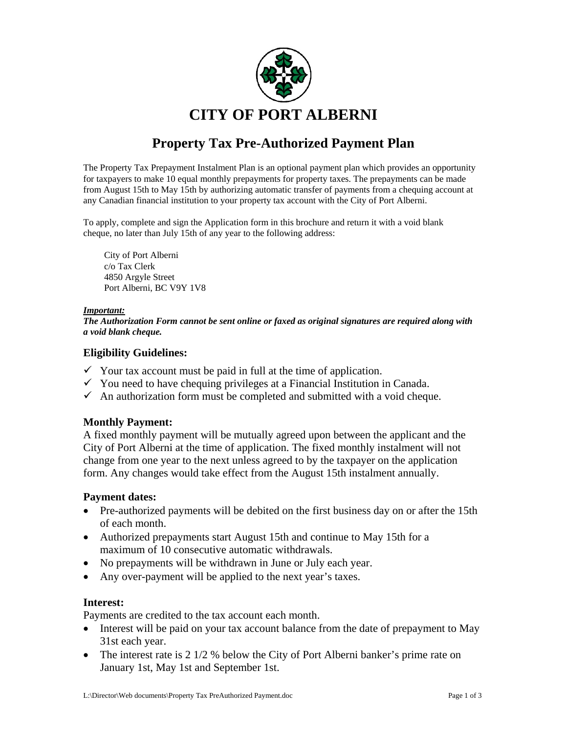

# **Property Tax Pre-Authorized Payment Plan**

The Property Tax Prepayment Instalment Plan is an optional payment plan which provides an opportunity for taxpayers to make 10 equal monthly prepayments for property taxes. The prepayments can be made from August 15th to May 15th by authorizing automatic transfer of payments from a chequing account at any Canadian financial institution to your property tax account with the City of Port Alberni.

To apply, complete and sign the Application form in this brochure and return it with a void blank cheque, no later than July 15th of any year to the following address:

City of Port Alberni c/o Tax Clerk 4850 Argyle Street Port Alberni, BC V9Y 1V8

#### *Important:*

*The Authorization Form cannot be sent online or faxed as original signatures are required along with a void blank cheque.* 

### **Eligibility Guidelines:**

- $\checkmark$  Your tax account must be paid in full at the time of application.
- $\checkmark$  You need to have chequing privileges at a Financial Institution in Canada.
- $\checkmark$  An authorization form must be completed and submitted with a void cheque.

## **Monthly Payment:**

A fixed monthly payment will be mutually agreed upon between the applicant and the City of Port Alberni at the time of application. The fixed monthly instalment will not change from one year to the next unless agreed to by the taxpayer on the application form. Any changes would take effect from the August 15th instalment annually.

#### **Payment dates:**

- Pre-authorized payments will be debited on the first business day on or after the 15th of each month.
- Authorized prepayments start August 15th and continue to May 15th for a maximum of 10 consecutive automatic withdrawals.
- No prepayments will be withdrawn in June or July each year.
- Any over-payment will be applied to the next year's taxes.

#### **Interest:**

Payments are credited to the tax account each month.

- Interest will be paid on your tax account balance from the date of prepayment to May 31st each year.
- The interest rate is 2 1/2 % below the City of Port Alberni banker's prime rate on January 1st, May 1st and September 1st.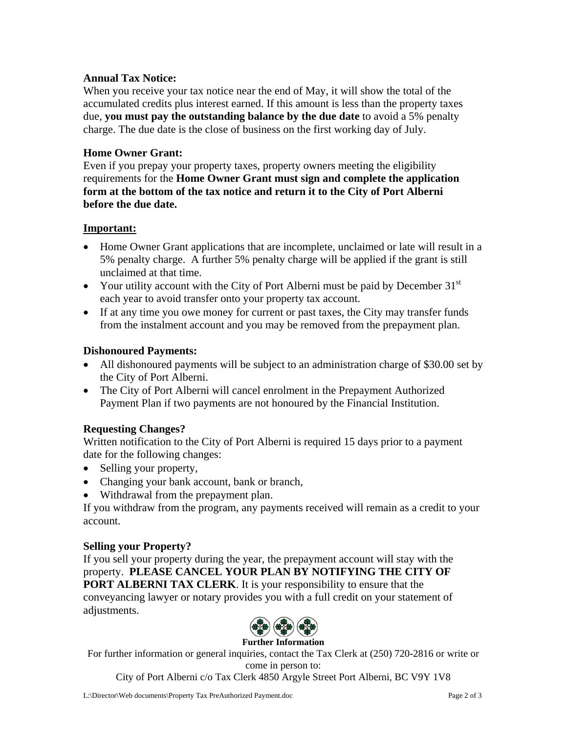## **Annual Tax Notice:**

When you receive your tax notice near the end of May, it will show the total of the accumulated credits plus interest earned. If this amount is less than the property taxes due, **you must pay the outstanding balance by the due date** to avoid a 5% penalty charge. The due date is the close of business on the first working day of July.

## **Home Owner Grant:**

Even if you prepay your property taxes, property owners meeting the eligibility requirements for the **Home Owner Grant must sign and complete the application form at the bottom of the tax notice and return it to the City of Port Alberni before the due date.** 

## **Important:**

- Home Owner Grant applications that are incomplete, unclaimed or late will result in a 5% penalty charge. A further 5% penalty charge will be applied if the grant is still unclaimed at that time.
- Your utility account with the City of Port Alberni must be paid by December  $31<sup>st</sup>$ each year to avoid transfer onto your property tax account.
- If at any time you owe money for current or past taxes, the City may transfer funds from the instalment account and you may be removed from the prepayment plan.

## **Dishonoured Payments:**

- All dishonoured payments will be subject to an administration charge of \$30.00 set by the City of Port Alberni.
- The City of Port Alberni will cancel enrolment in the Prepayment Authorized Payment Plan if two payments are not honoured by the Financial Institution.

# **Requesting Changes?**

Written notification to the City of Port Alberni is required 15 days prior to a payment date for the following changes:

- Selling your property,
- Changing your bank account, bank or branch,
- Withdrawal from the prepayment plan.

If you withdraw from the program, any payments received will remain as a credit to your account.

# **Selling your Property?**

If you sell your property during the year, the prepayment account will stay with the property. **PLEASE CANCEL YOUR PLAN BY NOTIFYING THE CITY OF PORT ALBERNI TAX CLERK.** It is your responsibility to ensure that the conveyancing lawyer or notary provides you with a full credit on your statement of adjustments.



#### **Further Information**

For further information or general inquiries, contact the Tax Clerk at (250) 720-2816 or write or come in person to:

City of Port Alberni c/o Tax Clerk 4850 Argyle Street Port Alberni, BC V9Y 1V8